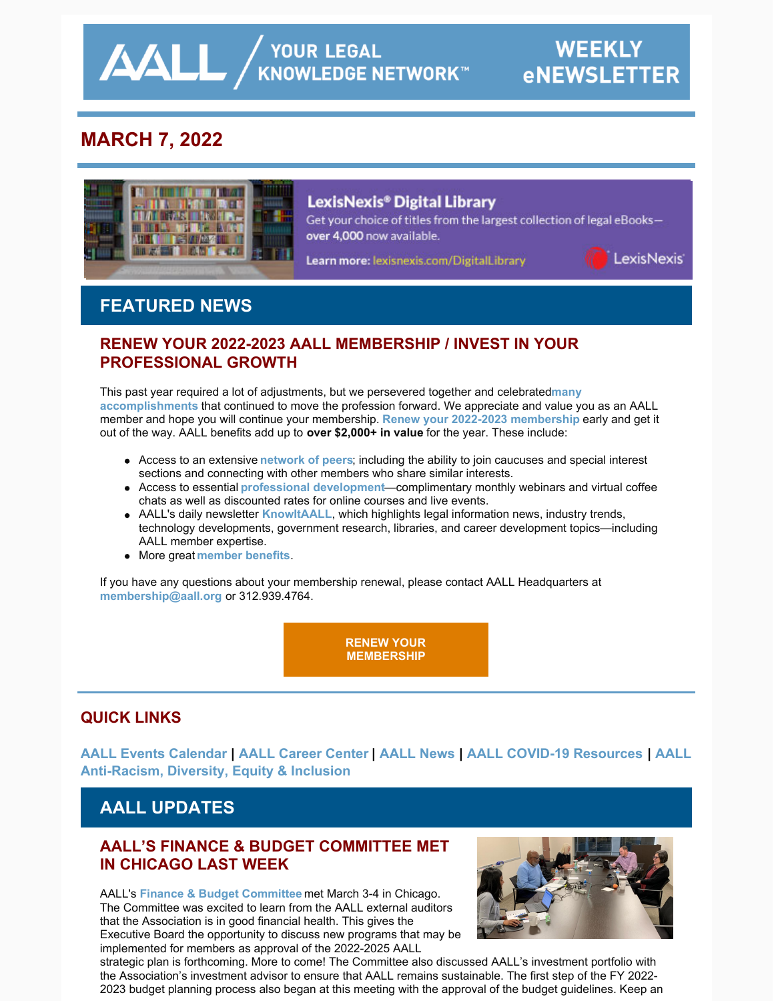**AALL** AND YOUR LEGAL

# **MARCH 7, 2022**



## Lexis Nexis<sup>®</sup> Digital Library

Get your choice of titles from the largest collection of legal eBooksover 4,000 now available.

Learn more: lexisnexis.com/DigitalLibrary



# **FEATURED NEWS**

## **RENEW YOUR 2022-2023 AALL MEMBERSHIP / INVEST IN YOUR PROFESSIONAL GROWTH**

[This past year required a lot of adjustments, but we persevered together and celebrated](https://www.aallnet.org/wp-content/uploads/2022/02/AALL-eBriefing-Thank-You-for-Being-an-AALL-Member.pdf) many **accomplishments** that continued to move the profession forward. We appreciate and value you as an AALL member and hope you will continue your membership. **[Renew your 2022-2023 membership](https://www.aallnet.org/users_only/IndividualFormPublic/myAccount?AllInvoices=1&ticket=ST-1646144981-il8mYmerHepXyXxhxKFnmI1bk4IpCEpS)** early and get it out of the way. AALL benefits add up to **over \$2,000+ in value** for the year. These include:

- Access to an extensive **[network of peers](https://www.aallnet.org/community/)**; including the ability to join caucuses and special interest sections and connecting with other members who share similar interests.
- Access to essential **[professional development](https://elearning.aallnet.org/)**—complimentary monthly webinars and virtual coffee chats as well as discounted rates for online courses and live events.
- AALL's daily newsletter **[KnowItAALL](https://www.aallnet.org/resources-publications/publications/knowitaall/)**, which highlights legal information news, industry trends, technology developments, government research, libraries, and career development topics—including AALL member expertise.
- More great **[member benefits](https://www.aallnet.org/community/membership/benefits/)**.

If you have any questions about your membership renewal, please contact AALL Headquarters at **[membership@aall.org](mailto:membership@aall.org)** or 312.939.4764.

> **[RENEW YOUR](https://www.aallnet.org/users_only/IndividualFormPublic/myAccount?AllInvoices=1&ticket=ST-1645107882-hEKDxIPx2hX9f166Q2Euj8904ubN2oPn) MEMBERSHIP**

## **QUICK LINKS**

**[AALL Events Calendar | AALL Career Center | AALL News | AALL COVID-19 Resources | AALL](https://www.aallnet.org/about-us/press-room/anti-racism-diversity-equity-inclusion/) Anti-Racism, Diversity, Equity & Inclusion**

# **AALL UPDATES**

## **AALL'S FINANCE & BUDGET COMMITTEE MET IN CHICAGO LAST WEEK**

AALL's **[Finance & Budget Committee](https://www.aallnet.org/about-us/who-we-are/committees-juries/executive-board-finance-budget-committee/)** met March 3-4 in Chicago. The Committee was excited to learn from the AALL external auditors that the Association is in good financial health. This gives the Executive Board the opportunity to discuss new programs that may be implemented for members as approval of the 2022-2025 AALL



strategic plan is forthcoming. More to come! The Committee also discussed AALL's investment portfolio with the Association's investment advisor to ensure that AALL remains sustainable. The first step of the FY 2022-2023 budget planning process also began at this meeting with the approval of the budget guidelines. Keep an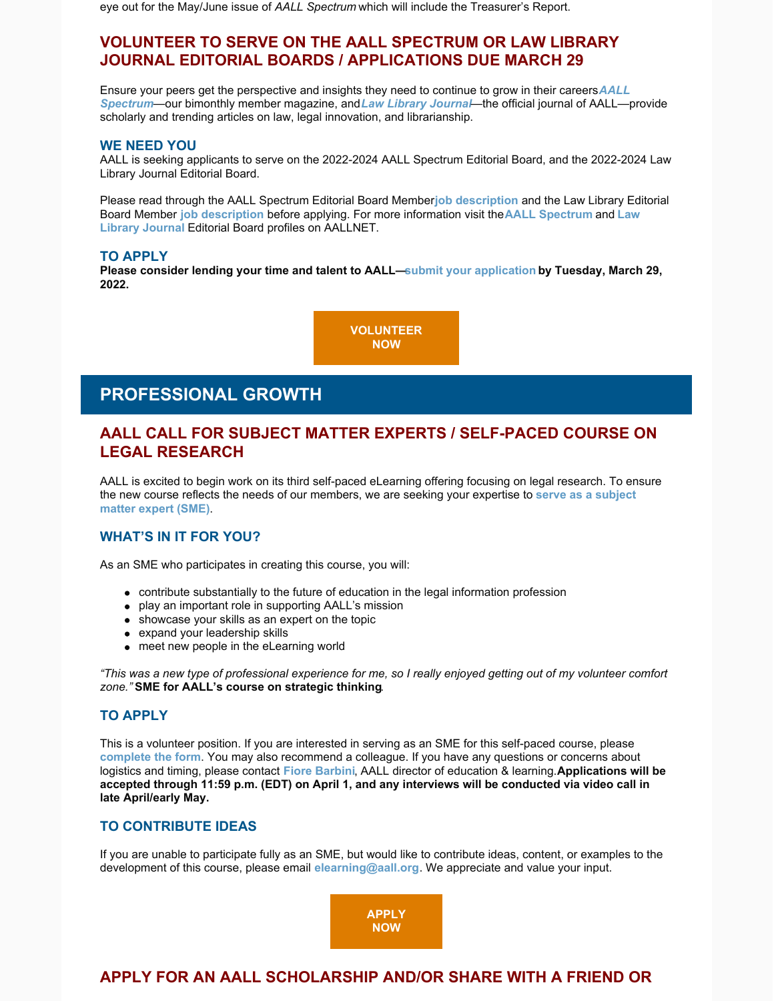eye out for the May/June issue of *AALL Spectrum* which will include the Treasurer's Report.

## **VOLUNTEER TO SERVE ON THE AALL SPECTRUM OR LAW LIBRARY JOURNAL EDITORIAL BOARDS / APPLICATIONS DUE MARCH 29**

[Ensure your peers get the perspective and insights they need to continue to grow in their careers.](https://www.aallnet.org/resources-publications/publications/aall-spectrum/) *AALL Spectrum*—our bimonthly member magazine, and *[Law Library Journal](https://www.aallnet.org/resources-publications/publications/law-library-journal/)*—the official journal of AALL—provide scholarly and trending articles on law, legal innovation, and librarianship.

#### **WE NEED YOU**

AALL is seeking applicants to serve on the 2022-2024 AALL Spectrum Editorial Board, and the 2022-2024 Law Library Journal Editorial Board.

Please read through the AALL Spectrum Editorial Board Member [job description](https://www.aallnet.org/wp-content/uploads/2022/02/Spectrum-Editorial-Board-Job-Description_2122-FINAL.pdf) and the Law Library Editorial Board Member **[job description](https://www.aallnet.org/wp-content/uploads/2022/02/LLJ_BOARD_JOB-DESCRIPTION-FINAL-2122.pdf)** [before applying. For more information visit the](https://www.aallnet.org/about-us/who-we-are/committees-juries/aall-law-library-journal-editorial-board/) **[AALL Spectrum](https://www.aallnet.org/about-us/who-we-are/committees-juries/aall-spectrum-editorial-board/)** and **Law Library Journal** Editorial Board profiles on AALLNET.

#### **TO APPLY**

**Please consider lending your time and talent to AALL[—submit your application](https://www.aallnet.org/about-us/who-we-are/committees-juries/volunteer/spectrumlljeditorialboardapp/) by Tuesday, March 29, 2022.** 

> **[VOLUNTEER](https://www.aallnet.org/about-us/who-we-are/committees-juries/volunteer/spectrumlljeditorialboardapp/) NOW**

# **PROFESSIONAL GROWTH**

### **AALL CALL FOR SUBJECT MATTER EXPERTS / SELF-PACED COURSE ON LEGAL RESEARCH**

AALL is excited to begin work on its third self-paced eLearning offering focusing on legal research. To ensure [the new course reflects the needs of our members, we are seeking your expertise to](https://www.aallnet.org/wp-content/uploads/2022/02/Legal-Research-Call-for-SMEs_FINAL.pdf) **serve as a subject matter expert (SME)**.

#### **WHAT'S IN IT FOR YOU?**

As an SME who participates in creating this course, you will:

- contribute substantially to the future of education in the legal information profession
- play an important role in supporting AALL's mission
- showcase your skills as an expert on the topic
- expand your leadership skills
- meet new people in the eLearning world

*"This was a new type of professional experience for me, so I really enjoyed getting out of my volunteer comfort zone."* **SME for AALL's course on strategic thinking**.

#### **TO APPLY**

This is a volunteer position. If you are interested in serving as an SME for this self-paced course, please **[complete the form](https://www.aallnet.org/education-training/elearning/sme/)**. You may also recommend a colleague. If you have any questions or concerns about logistics and timing, please contact **[Fiore Barbini](mailto:fbarbini@aall.org)**, AALL director of education & learning. **Applications will be accepted through 11:59 p.m. (EDT) on April 1, and any interviews will be conducted via video call in late April/early May.**

#### **TO CONTRIBUTE IDEAS**

If you are unable to participate fully as an SME, but would like to contribute ideas, content, or examples to the development of this course, please email **[elearning@aall.org](mailto:elearning@aall.org)**. We appreciate and value your input.



## **APPLY FOR AN AALL SCHOLARSHIP AND/OR SHARE WITH A FRIEND OR**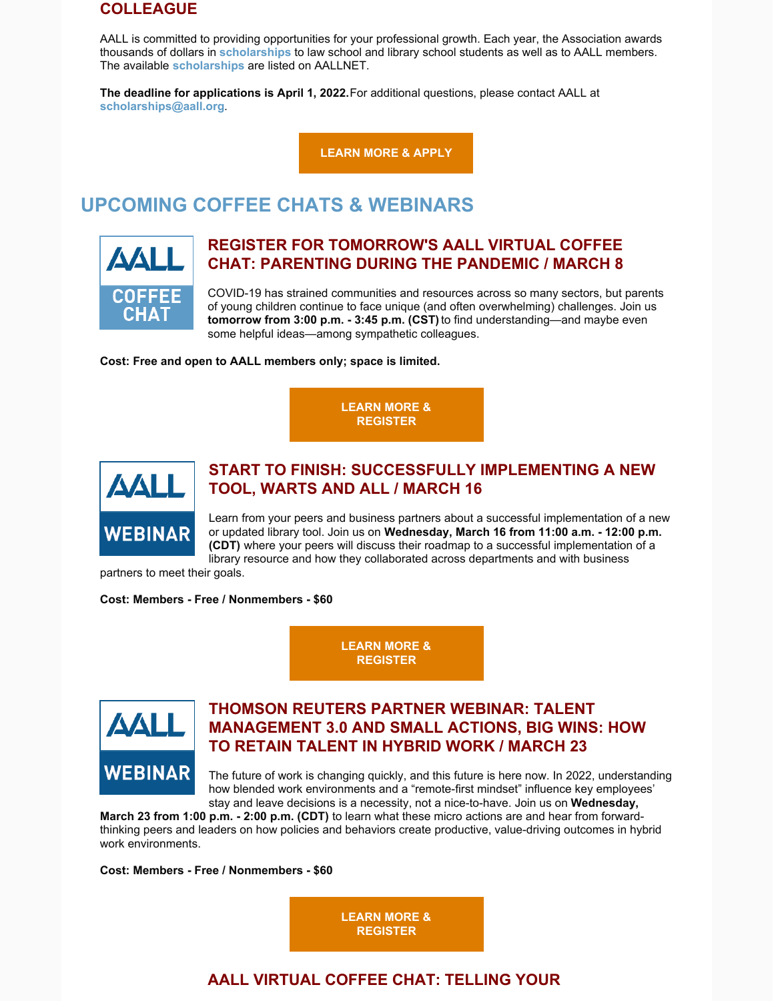### **COLLEAGUE**

AALL is committed to providing opportunities for your professional growth. Each year, the Association awards thousands of dollars in **[scholarships](https://www.aallnet.org/education-training/scholarships/)** to law school and library school students as well as to AALL members. The available **[scholarships](https://www.aallnet.org/education-training/scholarships/)** are listed on AALLNET.

**The deadline for applications is April 1, 2022.** For additional questions, please contact AALL at **[scholarships@aall.org](mailto:scholarships@aall.org)**.

**[LEARN MORE & APPLY](https://www.aallnet.org/education-training/scholarships/)**

# **UPCOMING COFFEE CHATS & WEBINARS**



### **REGISTER FOR TOMORROW'S AALL VIRTUAL COFFEE CHAT: PARENTING DURING THE PANDEMIC / MARCH 8**

COVID-19 has strained communities and resources across so many sectors, but parents of young children continue to face unique (and often overwhelming) challenges. Join us **tomorrow from 3:00 p.m. - 3:45 p.m. (CST)** to find understanding—and maybe even some helpful ideas—among sympathetic colleagues.

**Cost: Free and open to AALL members only; space is limited.**

**[LEARN MORE &](https://elearning.aallnet.org/products/virtual-coffee-chat-parenting-during-the-pandemic) REGISTER**



### **START TO FINISH: SUCCESSFULLY IMPLEMENTING A NEW TOOL, WARTS AND ALL / MARCH 16**

Learn from your peers and business partners about a successful implementation of a new or updated library tool. Join us on **Wednesday, March 16 from 11:00 a.m. - 12:00 p.m. (CDT)** where your peers will discuss their roadmap to a successful implementation of a library resource and how they collaborated across departments and with business

partners to meet their goals.

**Cost: Members - Free / Nonmembers - \$60**

**[LEARN MORE &](https://elearning.aallnet.org/products/start-to-finish-successfully-implementing-a-new-tool-warts-and-all) REGISTER**



## **THOMSON REUTERS PARTNER WEBINAR: TALENT MANAGEMENT 3.0 AND SMALL ACTIONS, BIG WINS: HOW TO RETAIN TALENT IN HYBRID WORK / MARCH 23**

The future of work is changing quickly, and this future is here now. In 2022, understanding how blended work environments and a "remote-first mindset" influence key employees' stay and leave decisions is a necessity, not a nice-to-have. Join us on **Wednesday,**

**March 23 from 1:00 p.m. - 2:00 p.m. (CDT)** to learn what these micro actions are and hear from forwardthinking peers and leaders on how policies and behaviors create productive, value-driving outcomes in hybrid work environments.

**Cost: Members - Free / Nonmembers - \$60**

**[LEARN MORE &](https://elearning.aallnet.org/products/talent-management-30-and-small-actions-big-wins-how-to-retain-talent-in-hybrid-work-thomson-reuters-partner-webinar) REGISTER**

## **AALL VIRTUAL COFFEE CHAT: TELLING YOUR**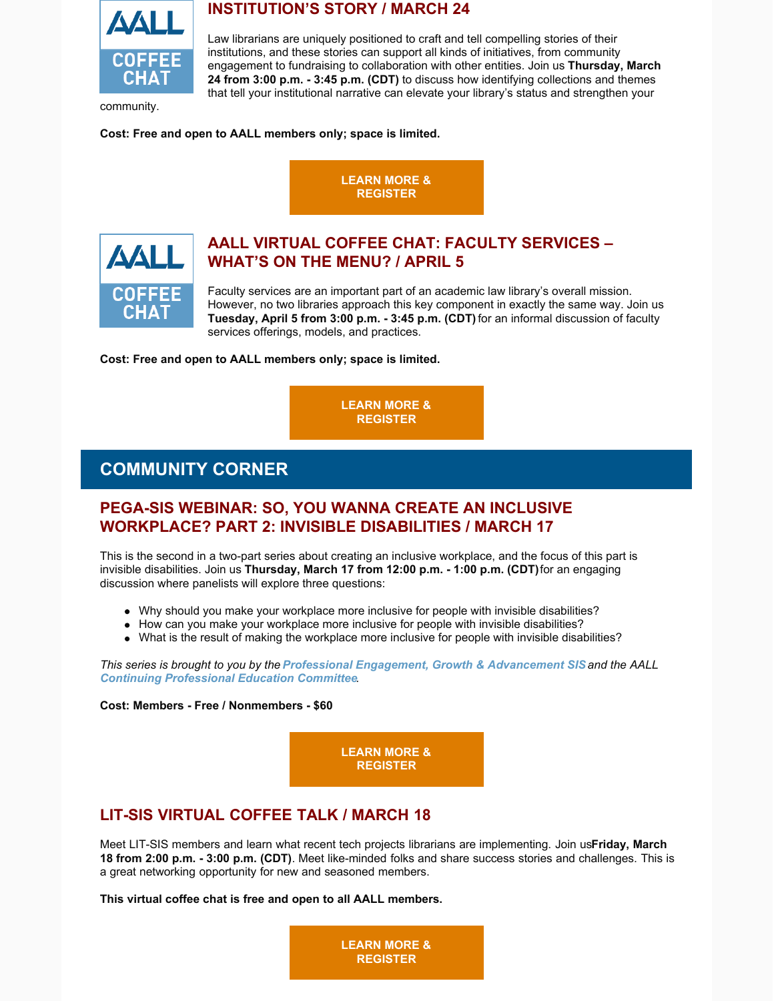

### **INSTITUTION'S STORY / MARCH 24**

Law librarians are uniquely positioned to craft and tell compelling stories of their institutions, and these stories can support all kinds of initiatives, from community engagement to fundraising to collaboration with other entities. Join us **Thursday, March 24 from 3:00 p.m. - 3:45 p.m. (CDT)** to discuss how identifying collections and themes that tell your institutional narrative can elevate your library's status and strengthen your

community.

**Cost: Free and open to AALL members only; space is limited.**





## **AALL VIRTUAL COFFEE CHAT: FACULTY SERVICES – WHAT'S ON THE MENU? / APRIL 5**

Faculty services are an important part of an academic law library's overall mission. However, no two libraries approach this key component in exactly the same way. Join us **Tuesday, April 5 from 3:00 p.m. - 3:45 p.m. (CDT)** for an informal discussion of faculty services offerings, models, and practices.

**Cost: Free and open to AALL members only; space is limited.**

**[LEARN MORE &](https://elearning.aallnet.org/products/virtual-coffee-chat-faculty-services-whats-on-the-menu) REGISTER**

## **COMMUNITY CORNER**

#### **PEGA-SIS WEBINAR: SO, YOU WANNA CREATE AN INCLUSIVE WORKPLACE? PART 2: INVISIBLE DISABILITIES / MARCH 17**

This is the second in a two-part series about creating an inclusive workplace, and the focus of this part is invisible disabilities. Join us **Thursday, March 17 from 12:00 p.m. - 1:00 p.m. (CDT)** for an engaging discussion where panelists will explore three questions:

- Why should you make your workplace more inclusive for people with invisible disabilities?
- How can you make your workplace more inclusive for people with invisible disabilities?
- What is the result of making the workplace more inclusive for people with invisible disabilities?

*This series is brought to you by the [Professional Engagement, Growth & Advancement SIS](https://www.aallnet.org/pegasis/) and the AALL [Continuing Professional Education Committee](https://www.aallnet.org/about-us/who-we-are/committees-juries/continuing-professional-education-committee/).*

**Cost: Members - Free / Nonmembers - \$60**

**[LEARN MORE &](https://elearning.aallnet.org/products/live-interview-series-so-you-wanna-create-an-inclusive-workplace-part-2-invisible-disabilities#tab-product_tab_overview) REGISTER**

## **LIT-SIS VIRTUAL COFFEE TALK / MARCH 18**

Meet LIT-SIS members and learn what recent tech projects librarians are implementing. Join us **Friday, March 18 from 2:00 p.m. - 3:00 p.m. (CDT)**. Meet like-minded folks and share success stories and challenges. This is a great networking opportunity for new and seasoned members.

**This virtual coffee chat is free and open to all AALL members.**

**[LEARN MORE &](https://hawaii.zoom.us/meeting/register/tJwucuuqqDsiH9Ysrk1QQ0YFn2bq1F7qTCZg) REGISTER**